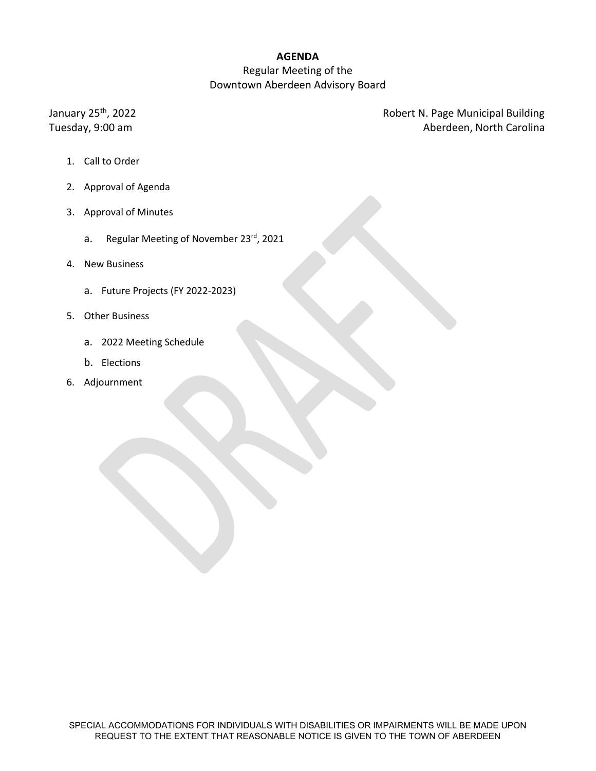# **AGENDA**

### Regular Meeting of the Downtown Aberdeen Advisory Board

January 25<sup>th</sup>, 2022 2001 2003 2004 Robert N. Page Municipal Building Tuesday, 9:00 am **Aberdeen, North Carolina** 

- 1. Call to Order
- 2. Approval of Agenda
- 3. Approval of Minutes
	- a. Regular Meeting of November 23rd, 2021
- 4. New Business
	- a. Future Projects (FY 2022-2023)
- 5. Other Business
	- a. 2022 Meeting Schedule
	- b. Elections
- 6. Adjournment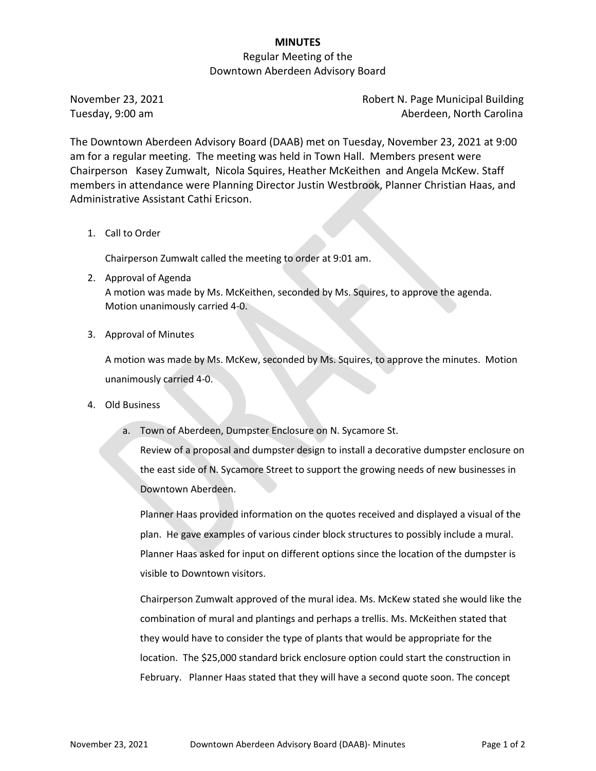# **MINUTES**

### Regular Meeting of the Downtown Aberdeen Advisory Board

November 23, 2021 **Robert N. Page Municipal Building** Tuesday, 9:00 am Aberdeen, North Carolina

The Downtown Aberdeen Advisory Board (DAAB) met on Tuesday, November 23, 2021 at 9:00 am for a regular meeting. The meeting was held in Town Hall. Members present were Chairperson Kasey Zumwalt, Nicola Squires, Heather McKeithen and Angela McKew. Staff members in attendance were Planning Director Justin Westbrook, Planner Christian Haas, and Administrative Assistant Cathi Ericson.

1. Call to Order

Chairperson Zumwalt called the meeting to order at 9:01 am.

- 2. Approval of Agenda A motion was made by Ms. McKeithen, seconded by Ms. Squires, to approve the agenda. Motion unanimously carried 4-0.
- 3. Approval of Minutes

A motion was made by Ms. McKew, seconded by Ms. Squires, to approve the minutes. Motion unanimously carried 4-0.

- 4. Old Business
	- a. Town of Aberdeen, Dumpster Enclosure on N. Sycamore St.

Review of a proposal and dumpster design to install a decorative dumpster enclosure on the east side of N. Sycamore Street to support the growing needs of new businesses in Downtown Aberdeen.

Planner Haas provided information on the quotes received and displayed a visual of the plan. He gave examples of various cinder block structures to possibly include a mural. Planner Haas asked for input on different options since the location of the dumpster is visible to Downtown visitors.

Chairperson Zumwalt approved of the mural idea. Ms. McKew stated she would like the combination of mural and plantings and perhaps a trellis. Ms. McKeithen stated that they would have to consider the type of plants that would be appropriate for the location. The \$25,000 standard brick enclosure option could start the construction in February. Planner Haas stated that they will have a second quote soon. The concept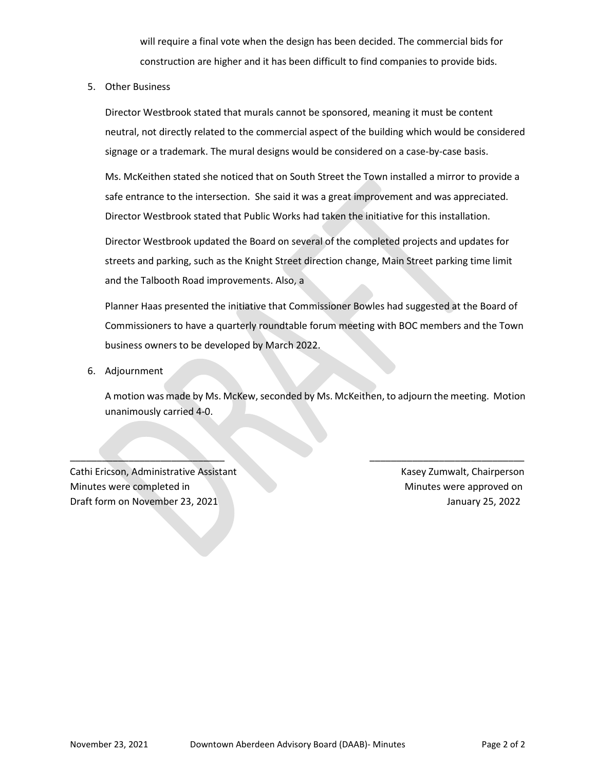will require a final vote when the design has been decided. The commercial bids for construction are higher and it has been difficult to find companies to provide bids.

5. Other Business

Director Westbrook stated that murals cannot be sponsored, meaning it must be content neutral, not directly related to the commercial aspect of the building which would be considered signage or a trademark. The mural designs would be considered on a case-by-case basis.

Ms. McKeithen stated she noticed that on South Street the Town installed a mirror to provide a safe entrance to the intersection. She said it was a great improvement and was appreciated. Director Westbrook stated that Public Works had taken the initiative for this installation.

Director Westbrook updated the Board on several of the completed projects and updates for streets and parking, such as the Knight Street direction change, Main Street parking time limit and the Talbooth Road improvements. Also, a

Planner Haas presented the initiative that Commissioner Bowles had suggested at the Board of Commissioners to have a quarterly roundtable forum meeting with BOC members and the Town business owners to be developed by March 2022.

6. Adjournment

A motion was made by Ms. McKew, seconded by Ms. McKeithen, to adjourn the meeting. Motion unanimously carried 4-0.

 $\qquad \qquad \qquad -$ 

Cathi Ericson, Administrative Assistant Kasey Zumwalt, Chairperson Minutes were completed in Minutes were approved on Draft form on November 23, 2021 January 25, 2022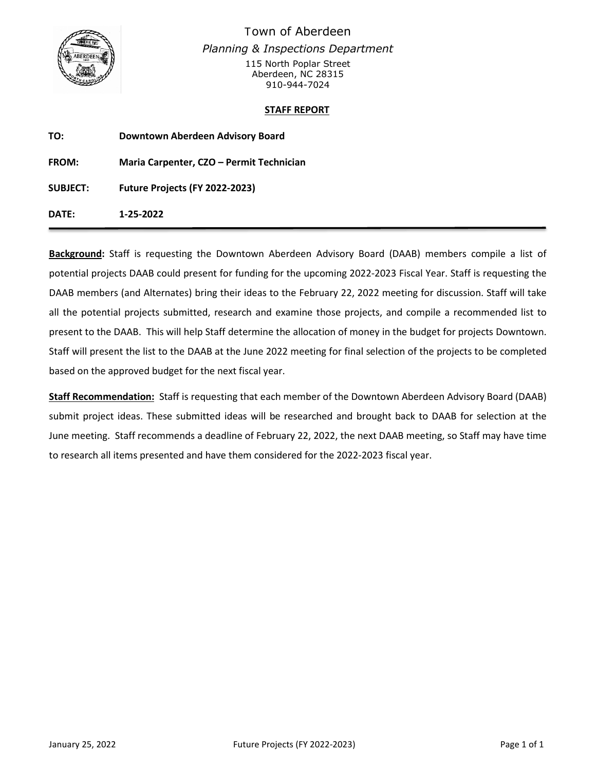

Town of Aberdeen *Planning & Inspections Department* 115 North Poplar Street Aberdeen, NC 28315 910-944-7024

#### **STAFF REPORT**

| TO:             | Downtown Aberdeen Advisory Board         |
|-----------------|------------------------------------------|
| <b>FROM:</b>    | Maria Carpenter, CZO - Permit Technician |
| <b>SUBJECT:</b> | Future Projects (FY 2022-2023)           |
| DATE:           | 1-25-2022                                |

**Background:** Staff is requesting the Downtown Aberdeen Advisory Board (DAAB) members compile a list of potential projects DAAB could present for funding for the upcoming 2022-2023 Fiscal Year. Staff is requesting the DAAB members (and Alternates) bring their ideas to the February 22, 2022 meeting for discussion. Staff will take all the potential projects submitted, research and examine those projects, and compile a recommended list to present to the DAAB. This will help Staff determine the allocation of money in the budget for projects Downtown. Staff will present the list to the DAAB at the June 2022 meeting for final selection of the projects to be completed based on the approved budget for the next fiscal year.

**Staff Recommendation:** Staff is requesting that each member of the Downtown Aberdeen Advisory Board (DAAB) submit project ideas. These submitted ideas will be researched and brought back to DAAB for selection at the June meeting. Staff recommends a deadline of February 22, 2022, the next DAAB meeting, so Staff may have time to research all items presented and have them considered for the 2022-2023 fiscal year.